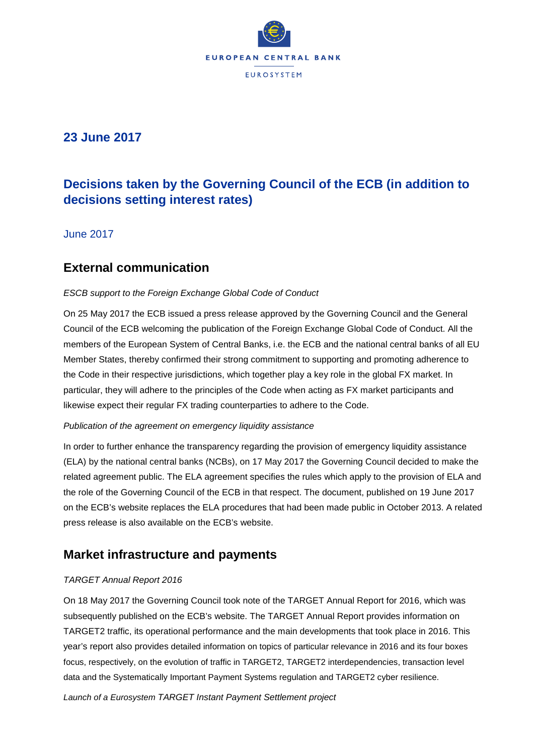

## **23 June 2017**

# **Decisions taken by the Governing Council of the ECB (in addition to decisions setting interest rates)**

June 2017

## **External communication**

### *ESCB support to the Foreign Exchange Global Code of Conduct*

On 25 May 2017 the ECB issued a press release approved by the Governing Council and the General Council of the ECB welcoming the publication of the Foreign Exchange Global Code of Conduct. All the members of the European System of Central Banks, i.e. the ECB and the national central banks of all EU Member States, thereby confirmed their strong commitment to supporting and promoting adherence to the Code in their respective jurisdictions, which together play a key role in the global FX market. In particular, they will adhere to the principles of the Code when acting as FX market participants and likewise expect their regular FX trading counterparties to adhere to the Code.

#### *Publication of the agreement on emergency liquidity assistance*

In order to further enhance the transparency regarding the provision of emergency liquidity assistance (ELA) by the national central banks (NCBs), on 17 May 2017 the Governing Council decided to make the related agreement public. The ELA agreement specifies the rules which apply to the provision of ELA and the role of the Governing Council of the ECB in that respect. The document, published on 19 June 2017 on the ECB's website replaces the ELA procedures that had been made public in October 2013. A related press release is also available on the ECB's website.

# **Market infrastructure and payments**

### *TARGET Annual Report 2016*

On 18 May 2017 the Governing Council took note of the TARGET Annual Report for 2016, which was subsequently published on the ECB's website. The TARGET Annual Report provides information on TARGET2 traffic, its operational performance and the main developments that took place in 2016. This year's report also provides detailed information on topics of particular relevance in 2016 and its four boxes focus, respectively, on the evolution of traffic in TARGET2, TARGET2 interdependencies, transaction level data and the Systematically Important Payment Systems regulation and TARGET2 cyber resilience.

*Launch of a Eurosystem TARGET Instant Payment Settlement project*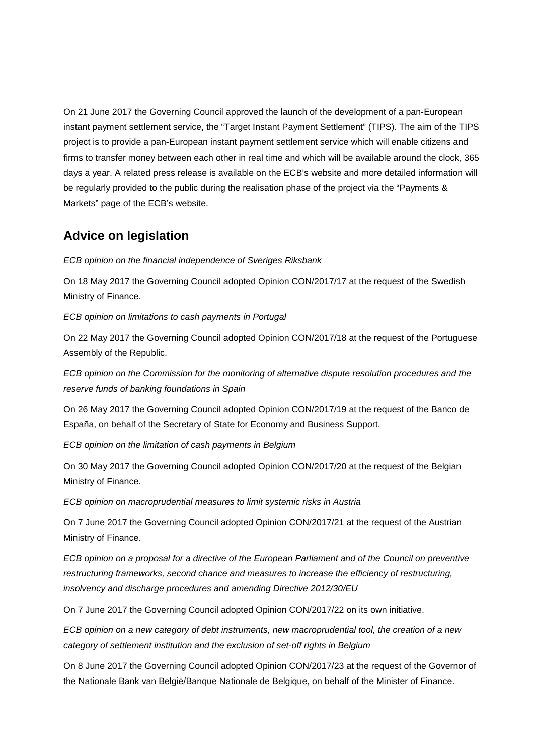On 21 June 2017 the Governing Council approved the launch of the development of a pan-European instant payment settlement service, the "Target Instant Payment Settlement" (TIPS). The aim of the TIPS project is to provide a pan-European instant payment settlement service which will enable citizens and firms to transfer money between each other in real time and which will be available around the clock, 365 days a year. A related press release is available on the ECB's website and more detailed information will be regularly provided to the public during the realisation phase of the project via the "Payments & Markets" page of the ECB's website.

# **Advice on legislation**

*ECB opinion on the financial independence of Sveriges Riksbank*

On 18 May 2017 the Governing Council adopted Opinion CON/2017/17 at the request of the Swedish Ministry of Finance.

*ECB opinion on limitations to cash payments in Portugal*

On 22 May 2017 the Governing Council adopted Opinion CON/2017/18 at the request of the Portuguese Assembly of the Republic.

*ECB opinion on the Commission for the monitoring of alternative dispute resolution procedures and the reserve funds of banking foundations in Spain*

On 26 May 2017 the Governing Council adopted Opinion CON/2017/19 at the request of the Banco de España, on behalf of the Secretary of State for Economy and Business Support.

*ECB opinion on the limitation of cash payments in Belgium*

On 30 May 2017 the Governing Council adopted Opinion CON/2017/20 at the request of the Belgian Ministry of Finance.

*ECB opinion on macroprudential measures to limit systemic risks in Austria*

On 7 June 2017 the Governing Council adopted Opinion CON/2017/21 at the request of the Austrian Ministry of Finance.

*ECB opinion on a proposal for a directive of the European Parliament and of the Council on preventive restructuring frameworks, second chance and measures to increase the efficiency of restructuring, insolvency and discharge procedures and amending Directive 2012/30/EU*

On 7 June 2017 the Governing Council adopted Opinion CON/2017/22 on its own initiative.

*ECB opinion on a new category of debt instruments, new macroprudential tool, the creation of a new category of settlement institution and the exclusion of set-off rights in Belgium*

On 8 June 2017 the Governing Council adopted Opinion CON/2017/23 at the request of the Governor of the Nationale Bank van België/Banque Nationale de Belgique, on behalf of the Minister of Finance.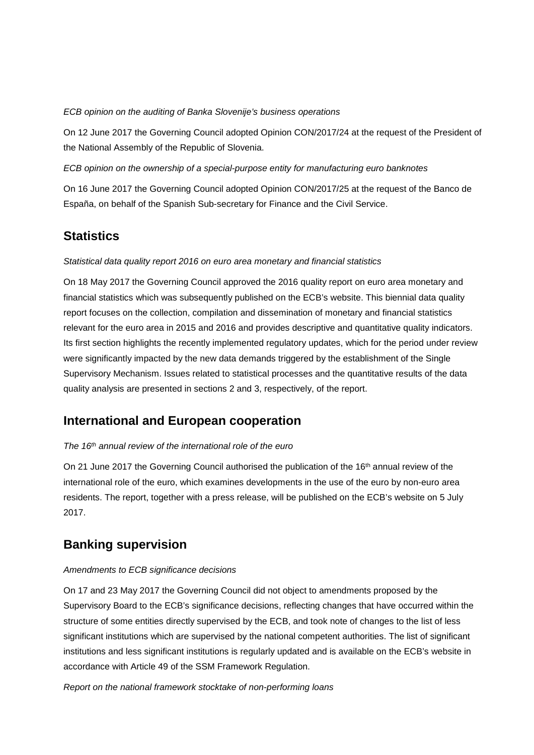#### *ECB opinion on the auditing of Banka Slovenije's business operations*

On 12 June 2017 the Governing Council adopted Opinion CON/2017/24 at the request of the President of the National Assembly of the Republic of Slovenia.

### *ECB opinion on the ownership of a special-purpose entity for manufacturing euro banknotes*

On 16 June 2017 the Governing Council adopted Opinion CON/2017/25 at the request of the Banco de España, on behalf of the Spanish Sub-secretary for Finance and the Civil Service.

# **Statistics**

### *Statistical data quality report 2016 on euro area monetary and financial statistics*

On 18 May 2017 the Governing Council approved the 2016 quality report on euro area monetary and financial statistics which was subsequently published on the ECB's website. This biennial data quality report focuses on the collection, compilation and dissemination of monetary and financial statistics relevant for the euro area in 2015 and 2016 and provides descriptive and quantitative quality indicators. Its first section highlights the recently implemented regulatory updates, which for the period under review were significantly impacted by the new data demands triggered by the establishment of the Single Supervisory Mechanism. Issues related to statistical processes and the quantitative results of the data quality analysis are presented in sections 2 and 3, respectively, of the report.

## **International and European cooperation**

#### *The 16th annual review of the international role of the euro*

On 21 June 2017 the Governing Council authorised the publication of the 16<sup>th</sup> annual review of the international role of the euro, which examines developments in the use of the euro by non-euro area residents. The report, together with a press release, will be published on the ECB's website on 5 July 2017.

# **Banking supervision**

#### *Amendments to ECB significance decisions*

On 17 and 23 May 2017 the Governing Council did not object to amendments proposed by the Supervisory Board to the ECB's significance decisions, reflecting changes that have occurred within the structure of some entities directly supervised by the ECB, and took note of changes to the list of less significant institutions which are supervised by the national competent authorities. The list of significant institutions and less significant institutions is regularly updated and is available on the ECB's website in accordance with Article 49 of the SSM Framework Regulation.

*Report on the national framework stocktake of non-performing loans*